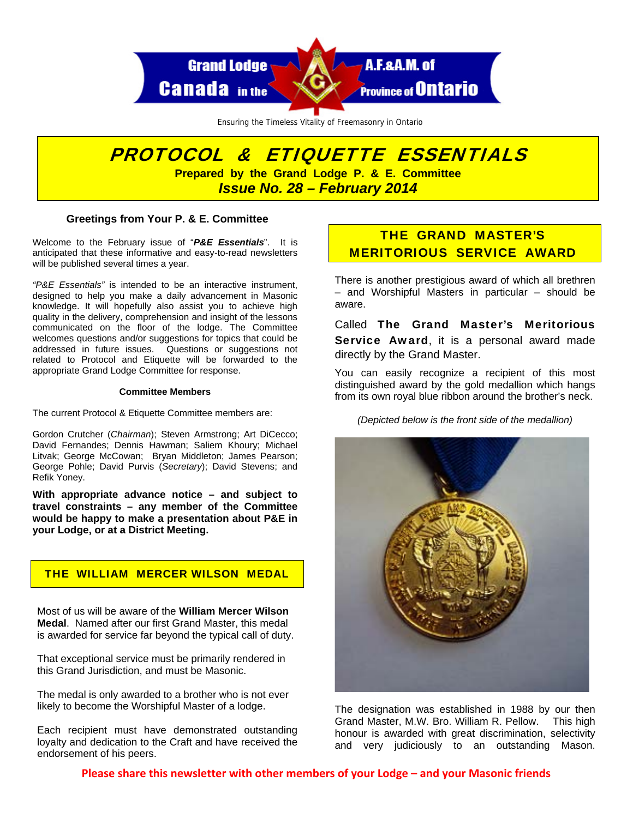

Ensuring the Timeless Vitality of Freemasonry in Ontario

# PROTOCOL & ETIQUETTE ESSENTIALS **Prepared by the Grand Lodge P. & E. Committee**

*Issue No. 28 – February 2014* 

### **Greetings from Your P. & E. Committee**

Welcome to the February issue of "*P&E Essentials*". It is anticipated that these informative and easy-to-read newsletters will be published several times a year.

*"P&E Essentials"* is intended to be an interactive instrument, designed to help you make a daily advancement in Masonic knowledge. It will hopefully also assist you to achieve high quality in the delivery, comprehension and insight of the lessons communicated on the floor of the lodge. The Committee welcomes questions and/or suggestions for topics that could be addressed in future issues. Questions or suggestions not related to Protocol and Etiquette will be forwarded to the appropriate Grand Lodge Committee for response.

#### **Committee Members**

The current Protocol & Etiquette Committee members are:

Gordon Crutcher (*Chairman*); Steven Armstrong; Art DiCecco; David Fernandes; Dennis Hawman; Saliem Khoury; Michael Litvak; George McCowan; Bryan Middleton; James Pearson; George Pohle; David Purvis (*Secretary*); David Stevens; and Refik Yoney.

**With appropriate advance notice – and subject to travel constraints – any member of the Committee would be happy to make a presentation about P&E in your Lodge, or at a District Meeting.** 

## THE WILLIAM MERCER WILSON MEDAL

Most of us will be aware of the **William Mercer Wilson Medal**. Named after our first Grand Master, this medal is awarded for service far beyond the typical call of duty.

That exceptional service must be primarily rendered in this Grand Jurisdiction, and must be Masonic.

The medal is only awarded to a brother who is not ever likely to become the Worshipful Master of a lodge.

Each recipient must have demonstrated outstanding loyalty and dedication to the Craft and have received the endorsement of his peers.

## THE GRAND MASTER'S MERITORIOUS SERVICE AWARD

There is another prestigious award of which all brethren – and Worshipful Masters in particular – should be aware.

Called The Grand Master's Meritorious Service Award, it is a personal award made directly by the Grand Master.

You can easily recognize a recipient of this most distinguished award by the gold medallion which hangs from its own royal blue ribbon around the brother's neck.

*(Depicted below is the front side of the medallion)* 



The designation was established in 1988 by our then Grand Master, M.W. Bro. William R. Pellow. This high honour is awarded with great discrimination, selectivity and very judiciously to an outstanding Mason.

**Please share this newsletter with other members of your Lodge – and your Masonic friends**